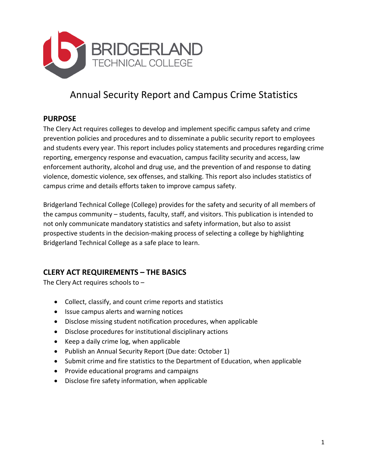

# Annual Security Report and Campus Crime Statistics

#### **PURPOSE**

The Clery Act requires colleges to develop and implement specific campus safety and crime prevention policies and procedures and to disseminate a public security report to employees and students every year. This report includes policy statements and procedures regarding crime reporting, emergency response and evacuation, campus facility security and access, law enforcement authority, alcohol and drug use, and the prevention of and response to dating violence, domestic violence, sex offenses, and stalking. This report also includes statistics of campus crime and details efforts taken to improve campus safety.

Bridgerland Technical College (College) provides for the safety and security of all members of the campus community – students, faculty, staff, and visitors. This publication is intended to not only communicate mandatory statistics and safety information, but also to assist prospective students in the decision-making process of selecting a college by highlighting Bridgerland Technical College as a safe place to learn.

## **CLERY ACT REQUIREMENTS – THE BASICS**

The Clery Act requires schools to –

- Collect, classify, and count crime reports and statistics
- Issue campus alerts and warning notices
- Disclose missing student notification procedures, when applicable
- Disclose procedures for institutional disciplinary actions
- Keep a daily crime log, when applicable
- Publish an Annual Security Report (Due date: October 1)
- Submit crime and fire statistics to the Department of Education, when applicable
- Provide educational programs and campaigns
- Disclose fire safety information, when applicable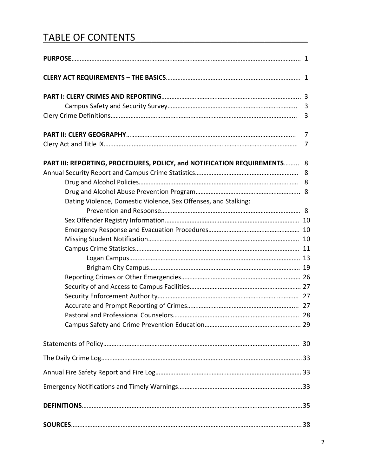# TABLE OF CONTENTS

| PART III: REPORTING, PROCEDURES, POLICY, and NOTIFICATION REQUIREMENTS 8 |  |
|--------------------------------------------------------------------------|--|
|                                                                          |  |
|                                                                          |  |
|                                                                          |  |
| Dating Violence, Domestic Violence, Sex Offenses, and Stalking:          |  |
|                                                                          |  |
|                                                                          |  |
|                                                                          |  |
|                                                                          |  |
|                                                                          |  |
|                                                                          |  |
|                                                                          |  |
|                                                                          |  |
|                                                                          |  |
|                                                                          |  |
|                                                                          |  |
|                                                                          |  |
|                                                                          |  |
|                                                                          |  |
|                                                                          |  |
|                                                                          |  |
|                                                                          |  |
|                                                                          |  |
|                                                                          |  |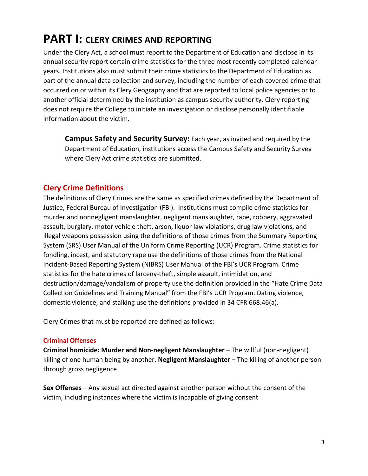# **PART I: CLERY CRIMES AND REPORTING**

Under the Clery Act, a school must report to the Department of Education and disclose in its annual security report certain crime statistics for the three most recently completed calendar years. Institutions also must submit their crime statistics to the Department of Education as part of the annual data collection and survey, including the number of each covered crime that occurred on or within its Clery Geography and that are reported to local police agencies or to another official determined by the institution as campus security authority. Clery reporting does not require the College to initiate an investigation or disclose personally identifiable information about the victim.

**Campus Safety and Security Survey:** Each year, as invited and required by the Department of Education, institutions access the Campus Safety and Security Survey where Clery Act crime statistics are submitted.

## **Clery Crime Definitions**

The definitions of Clery Crimes are the same as specified crimes defined by the Department of Justice, Federal Bureau of Investigation (FBI). Institutions must compile crime statistics for murder and nonnegligent manslaughter, negligent manslaughter, rape, robbery, aggravated assault, burglary, motor vehicle theft, arson, liquor law violations, drug law violations, and illegal weapons possession using the definitions of those crimes from the Summary Reporting System (SRS) User Manual of the Uniform Crime Reporting (UCR) Program. Crime statistics for fondling, incest, and statutory rape use the definitions of those crimes from the National Incident-Based Reporting System (NIBRS) User Manual of the FBI's UCR Program. Crime statistics for the hate crimes of larceny-theft, simple assault, intimidation, and destruction/damage/vandalism of property use the definition provided in the "Hate Crime Data Collection Guidelines and Training Manual" from the FBI's UCR Program. Dating violence, domestic violence, and stalking use the definitions provided in 34 CFR 668.46(a).

Clery Crimes that must be reported are defined as follows:

#### **Criminal Offenses**

**Criminal homicide: Murder and Non-negligent Manslaughter** – The willful (non-negligent) killing of one human being by another. **Negligent Manslaughter** – The killing of another person through gross negligence

**Sex Offenses** – Any sexual act directed against another person without the consent of the victim, including instances where the victim is incapable of giving consent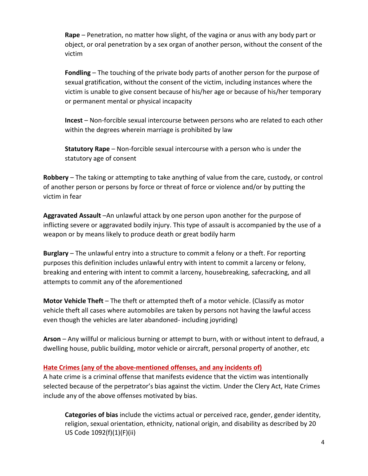**Rape** – Penetration, no matter how slight, of the vagina or anus with any body part or object, or oral penetration by a sex organ of another person, without the consent of the victim

**Fondling** – The touching of the private body parts of another person for the purpose of sexual gratification, without the consent of the victim, including instances where the victim is unable to give consent because of his/her age or because of his/her temporary or permanent mental or physical incapacity

**Incest** – Non-forcible sexual intercourse between persons who are related to each other within the degrees wherein marriage is prohibited by law

**Statutory Rape** – Non-forcible sexual intercourse with a person who is under the statutory age of consent

**Robbery** – The taking or attempting to take anything of value from the care, custody, or control of another person or persons by force or threat of force or violence and/or by putting the victim in fear

**Aggravated Assault** –An unlawful attack by one person upon another for the purpose of inflicting severe or aggravated bodily injury. This type of assault is accompanied by the use of a weapon or by means likely to produce death or great bodily harm

**Burglary** – The unlawful entry into a structure to commit a felony or a theft. For reporting purposes this definition includes unlawful entry with intent to commit a larceny or felony, breaking and entering with intent to commit a larceny, housebreaking, safecracking, and all attempts to commit any of the aforementioned

**Motor Vehicle Theft** – The theft or attempted theft of a motor vehicle. (Classify as motor vehicle theft all cases where automobiles are taken by persons not having the lawful access even though the vehicles are later abandoned- including joyriding)

**Arson** – Any willful or malicious burning or attempt to burn, with or without intent to defraud, a dwelling house, public building, motor vehicle or aircraft, personal property of another, etc

#### **Hate Crimes (any of the above-mentioned offenses, and any incidents of)**

A hate crime is a criminal offense that manifests evidence that the victim was intentionally selected because of the perpetrator's bias against the victim. Under the Clery Act, Hate Crimes include any of the above offenses motivated by bias.

**Categories of bias** include the victims actual or perceived race, gender, gender identity, religion, sexual orientation, ethnicity, national origin, and disability as described by 20 US Code 1092(f)(1)(F)(ii)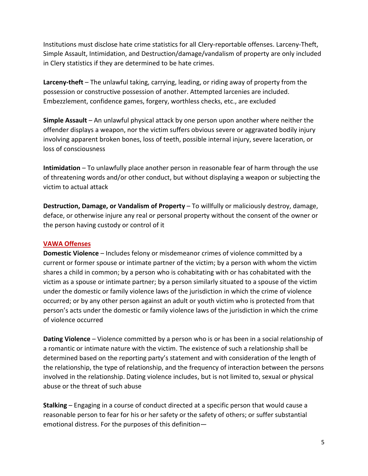Institutions must disclose hate crime statistics for all Clery-reportable offenses. Larceny-Theft, Simple Assault, Intimidation, and Destruction/damage/vandalism of property are only included in Clery statistics if they are determined to be hate crimes.

**Larceny-theft** – The unlawful taking, carrying, leading, or riding away of property from the possession or constructive possession of another. Attempted larcenies are included. Embezzlement, confidence games, forgery, worthless checks, etc., are excluded

**Simple Assault** – An unlawful physical attack by one person upon another where neither the offender displays a weapon, nor the victim suffers obvious severe or aggravated bodily injury involving apparent broken bones, loss of teeth, possible internal injury, severe laceration, or loss of consciousness

**Intimidation** – To unlawfully place another person in reasonable fear of harm through the use of threatening words and/or other conduct, but without displaying a weapon or subjecting the victim to actual attack

**Destruction, Damage, or Vandalism of Property** – To willfully or maliciously destroy, damage, deface, or otherwise injure any real or personal property without the consent of the owner or the person having custody or control of it

#### **VAWA Offenses**

**Domestic Violence** – Includes felony or misdemeanor crimes of violence committed by a current or former spouse or intimate partner of the victim; by a person with whom the victim shares a child in common; by a person who is cohabitating with or has cohabitated with the victim as a spouse or intimate partner; by a person similarly situated to a spouse of the victim under the domestic or family violence laws of the jurisdiction in which the crime of violence occurred; or by any other person against an adult or youth victim who is protected from that person's acts under the domestic or family violence laws of the jurisdiction in which the crime of violence occurred

**Dating Violence** – Violence committed by a person who is or has been in a social relationship of a romantic or intimate nature with the victim. The existence of such a relationship shall be determined based on the reporting party's statement and with consideration of the length of the relationship, the type of relationship, and the frequency of interaction between the persons involved in the relationship. Dating violence includes, but is not limited to, sexual or physical abuse or the threat of such abuse

**Stalking** – Engaging in a course of conduct directed at a specific person that would cause a reasonable person to fear for his or her safety or the safety of others; or suffer substantial emotional distress. For the purposes of this definition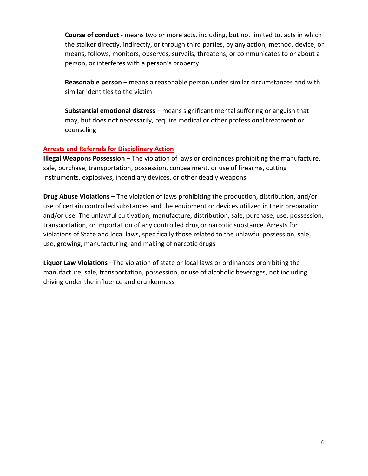**Course of conduct** - means two or more acts, including, but not limited to, acts in which the stalker directly, indirectly, or through third parties, by any action, method, device, or means, follows, monitors, observes, surveils, threatens, or communicates to or about a person, or interferes with a person's property

**Reasonable person** – means a reasonable person under similar circumstances and with similar identities to the victim

**Substantial emotional distress** – means significant mental suffering or anguish that may, but does not necessarily, require medical or other professional treatment or counseling

#### **Arrests and Referrals for Disciplinary Action**

**Illegal Weapons Possession** – The violation of laws or ordinances prohibiting the manufacture, sale, purchase, transportation, possession, concealment, or use of firearms, cutting instruments, explosives, incendiary devices, or other deadly weapons

**Drug Abuse Violations** – The violation of laws prohibiting the production, distribution, and/or use of certain controlled substances and the equipment or devices utilized in their preparation and/or use. The unlawful cultivation, manufacture, distribution, sale, purchase, use, possession, transportation, or importation of any controlled drug or narcotic substance. Arrests for violations of State and local laws, specifically those related to the unlawful possession, sale, use, growing, manufacturing, and making of narcotic drugs

**Liquor Law Violations** –The violation of state or local laws or ordinances prohibiting the manufacture, sale, transportation, possession, or use of alcoholic beverages, not including driving under the influence and drunkenness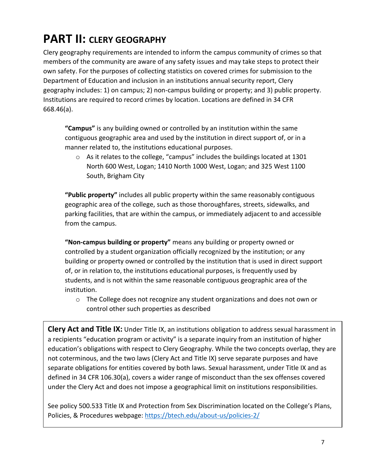# **PART II: CLERY GEOGRAPHY**

Clery geography requirements are intended to inform the campus community of crimes so that members of the community are aware of any safety issues and may take steps to protect their own safety. For the purposes of collecting statistics on covered crimes for submission to the Department of Education and inclusion in an institutions annual security report, Clery geography includes: 1) on campus; 2) non-campus building or property; and 3) public property. Institutions are required to record crimes by location. Locations are defined in 34 CFR 668.46(a).

**"Campus"** is any building owned or controlled by an institution within the same contiguous geographic area and used by the institution in direct support of, or in a manner related to, the institutions educational purposes.

o As it relates to the college, "campus" includes the buildings located at 1301 North 600 West, Logan; 1410 North 1000 West, Logan; and 325 West 1100 South, Brigham City

**"Public property"** includes all public property within the same reasonably contiguous geographic area of the college, such as those thoroughfares, streets, sidewalks, and parking facilities, that are within the campus, or immediately adjacent to and accessible from the campus.

**"Non-campus building or property"** means any building or property owned or controlled by a student organization officially recognized by the institution; or any building or property owned or controlled by the institution that is used in direct support of, or in relation to, the institutions educational purposes, is frequently used by students, and is not within the same reasonable contiguous geographic area of the institution.

o The College does not recognize any student organizations and does not own or control other such properties as described

**Clery Act and Title IX:** Under Title IX, an institutions obligation to address sexual harassment in a recipients "education program or activity" is a separate inquiry from an institution of higher education's obligations with respect to Clery Geography. While the two concepts overlap, they are not coterminous, and the two laws (Clery Act and Title IX) serve separate purposes and have separate obligations for entities covered by both laws. Sexual harassment, under Title IX and as defined in 34 CFR 106.30(a), covers a wider range of misconduct than the sex offenses covered under the Clery Act and does not impose a geographical limit on institutions responsibilities.

See policy 500.533 Title IX and Protection from Sex Discrimination located on the College's Plans, Policies, & Procedures webpage:<https://btech.edu/about-us/policies-2/>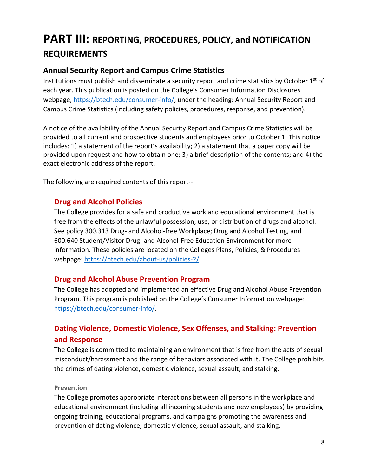# **PART III: REPORTING, PROCEDURES, POLICY, and NOTIFICATION REQUIREMENTS**

# **Annual Security Report and Campus Crime Statistics**

Institutions must publish and disseminate a security report and crime statistics by October  $1<sup>st</sup>$  of each year. This publication is posted on the College's Consumer Information Disclosures webpage, [https://btech.edu/consumer-info/,](https://btech.edu/consumer-info/) under the heading: Annual Security Report and Campus Crime Statistics (including safety policies, procedures, response, and prevention).

A notice of the availability of the Annual Security Report and Campus Crime Statistics will be provided to all current and prospective students and employees prior to October 1. This notice includes: 1) a statement of the report's availability; 2) a statement that a paper copy will be provided upon request and how to obtain one; 3) a brief description of the contents; and 4) the exact electronic address of the report.

The following are required contents of this report--

#### **Drug and Alcohol Policies**

The College provides for a safe and productive work and educational environment that is free from the effects of the unlawful possession, use, or distribution of drugs and alcohol. See policy 300.313 Drug- and Alcohol-free Workplace; Drug and Alcohol Testing, and 600.640 Student/Visitor Drug- and Alcohol-Free Education Environment for more information. These policies are located on the Colleges Plans, Policies, & Procedures webpage:<https://btech.edu/about-us/policies-2/>

#### **Drug and Alcohol Abuse Prevention Program**

The College has adopted and implemented an effective Drug and Alcohol Abuse Prevention Program. This program is published on the College's Consumer Information webpage: [https://btech.edu/consumer-info/.](https://btech.edu/consumer-info/)

# **Dating Violence, Domestic Violence, Sex Offenses, and Stalking: Prevention and Response**

The College is committed to maintaining an environment that is free from the acts of sexual misconduct/harassment and the range of behaviors associated with it. The College prohibits the crimes of dating violence, domestic violence, sexual assault, and stalking.

#### **Prevention**

The College promotes appropriate interactions between all persons in the workplace and educational environment (including all incoming students and new employees) by providing ongoing training, educational programs, and campaigns promoting the awareness and prevention of dating violence, domestic violence, sexual assault, and stalking.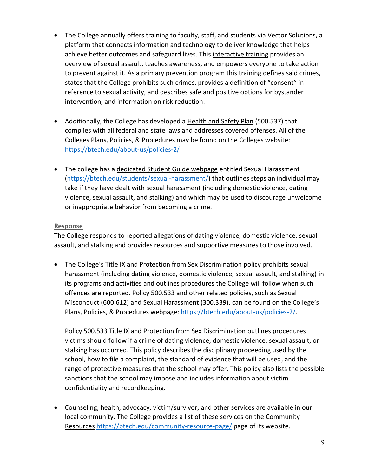- The College annually offers training to faculty, staff, and students via Vector Solutions, a platform that connects information and technology to deliver knowledge that helps achieve better outcomes and safeguard lives. This interactive training provides an overview of sexual assault, teaches awareness, and empowers everyone to take action to prevent against it. As a primary prevention program this training defines said crimes, states that the College prohibits such crimes, provides a definition of "consent" in reference to sexual activity, and describes safe and positive options for bystander intervention, and information on risk reduction.
- Additionally, the College has developed a Health and Safety Plan (500.537) that complies with all federal and state laws and addresses covered offenses. All of the Colleges Plans, Policies, & Procedures may be found on the Colleges website: <https://btech.edu/about-us/policies-2/>
- The college has a dedicated Student Guide webpage entitled Sexual Harassment [\(https://btech.edu/students/sexual-harassment/\)](https://btech.edu/students/sexual-harassment/) that outlines steps an individual may take if they have dealt with sexual harassment (including domestic violence, dating violence, sexual assault, and stalking) and which may be used to discourage unwelcome or inappropriate behavior from becoming a crime.

#### **Response**

The College responds to reported allegations of dating violence, domestic violence, sexual assault, and stalking and provides resources and supportive measures to those involved.

• The College's Title IX and Protection from Sex Discrimination policy prohibits sexual harassment (including dating violence, domestic violence, sexual assault, and stalking) in its programs and activities and outlines procedures the College will follow when such offences are reported. Policy 500.533 and other related policies, such as Sexual Misconduct (600.612) and Sexual Harassment (300.339), can be found on the College's Plans, Policies, & Procedures webpage: [https://btech.edu/about-us/policies-2/.](https://btech.edu/about-us/policies-2/)

Policy 500.533 Title IX and Protection from Sex Discrimination outlines procedures victims should follow if a crime of dating violence, domestic violence, sexual assault, or stalking has occurred. This policy describes the disciplinary proceeding used by the school, how to file a complaint, the standard of evidence that will be used, and the range of protective measures that the school may offer. This policy also lists the possible sanctions that the school may impose and includes information about victim confidentiality and recordkeeping.

• Counseling, health, advocacy, victim/survivor, and other services are available in our local community. The College provides a list of these services on the Community Resources <https://btech.edu/community-resource-page/> page of its website.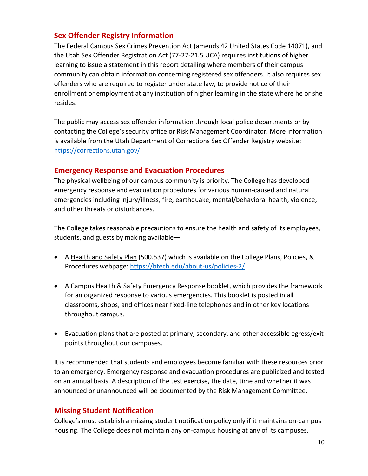## **Sex Offender Registry Information**

The Federal Campus Sex Crimes Prevention Act (amends 42 United States Code 14071), and the Utah Sex Offender Registration Act (77-27-21.5 UCA) requires institutions of higher learning to issue a statement in this report detailing where members of their campus community can obtain information concerning registered sex offenders. It also requires sex offenders who are required to register under state law, to provide notice of their enrollment or employment at any institution of higher learning in the state where he or she resides.

The public may access sex offender information through local police departments or by contacting the College's security office or Risk Management Coordinator. More information is available from the Utah Department of Corrections Sex Offender Registry website: <https://corrections.utah.gov/>

#### **Emergency Response and Evacuation Procedures**

The physical wellbeing of our campus community is priority. The College has developed emergency response and evacuation procedures for various human-caused and natural emergencies including injury/illness, fire, earthquake, mental/behavioral health, violence, and other threats or disturbances.

The College takes reasonable precautions to ensure the health and safety of its employees, students, and guests by making available—

- A Health and Safety Plan (500.537) which is available on the College Plans, Policies, & Procedures webpage: [https://btech.edu/about-us/policies-2/.](https://btech.edu/about-us/policies-2/)
- A Campus Health & Safety Emergency Response booklet, which provides the framework for an organized response to various emergencies. This booklet is posted in all classrooms, shops, and offices near fixed-line telephones and in other key locations throughout campus.
- Evacuation plans that are posted at primary, secondary, and other accessible egress/exit points throughout our campuses.

It is recommended that students and employees become familiar with these resources prior to an emergency. Emergency response and evacuation procedures are publicized and tested on an annual basis. A description of the test exercise, the date, time and whether it was announced or unannounced will be documented by the Risk Management Committee.

## **Missing Student Notification**

College's must establish a missing student notification policy only if it maintains on-campus housing. The College does not maintain any on-campus housing at any of its campuses.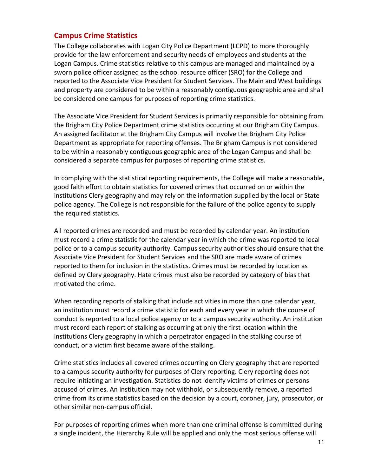#### **Campus Crime Statistics**

The College collaborates with Logan City Police Department (LCPD) to more thoroughly provide for the law enforcement and security needs of employees and students at the Logan Campus. Crime statistics relative to this campus are managed and maintained by a sworn police officer assigned as the school resource officer (SRO) for the College and reported to the Associate Vice President for Student Services. The Main and West buildings and property are considered to be within a reasonably contiguous geographic area and shall be considered one campus for purposes of reporting crime statistics.

The Associate Vice President for Student Services is primarily responsible for obtaining from the Brigham City Police Department crime statistics occurring at our Brigham City Campus. An assigned facilitator at the Brigham City Campus will involve the Brigham City Police Department as appropriate for reporting offenses. The Brigham Campus is not considered to be within a reasonably contiguous geographic area of the Logan Campus and shall be considered a separate campus for purposes of reporting crime statistics.

In complying with the statistical reporting requirements, the College will make a reasonable, good faith effort to obtain statistics for covered crimes that occurred on or within the institutions Clery geography and may rely on the information supplied by the local or State police agency. The College is not responsible for the failure of the police agency to supply the required statistics.

All reported crimes are recorded and must be recorded by calendar year. An institution must record a crime statistic for the calendar year in which the crime was reported to local police or to a campus security authority. Campus security authorities should ensure that the Associate Vice President for Student Services and the SRO are made aware of crimes reported to them for inclusion in the statistics. Crimes must be recorded by location as defined by Clery geography. Hate crimes must also be recorded by category of bias that motivated the crime.

When recording reports of stalking that include activities in more than one calendar year, an institution must record a crime statistic for each and every year in which the course of conduct is reported to a local police agency or to a campus security authority. An institution must record each report of stalking as occurring at only the first location within the institutions Clery geography in which a perpetrator engaged in the stalking course of conduct, or a victim first became aware of the stalking.

Crime statistics includes all covered crimes occurring on Clery geography that are reported to a campus security authority for purposes of Clery reporting. Clery reporting does not require initiating an investigation. Statistics do not identify victims of crimes or persons accused of crimes. An institution may not withhold, or subsequently remove, a reported crime from its crime statistics based on the decision by a court, coroner, jury, prosecutor, or other similar non-campus official.

For purposes of reporting crimes when more than one criminal offense is committed during a single incident, the Hierarchy Rule will be applied and only the most serious offense will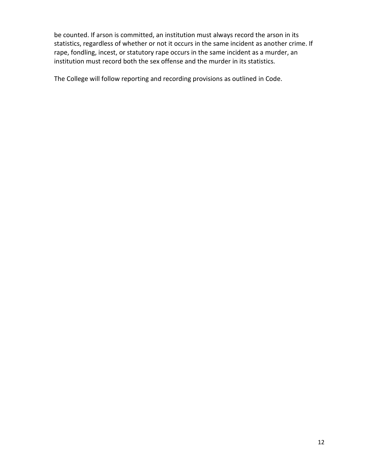be counted. If arson is committed, an institution must always record the arson in its statistics, regardless of whether or not it occurs in the same incident as another crime. If rape, fondling, incest, or statutory rape occurs in the same incident as a murder, an institution must record both the sex offense and the murder in its statistics.

The College will follow reporting and recording provisions as outlined in Code.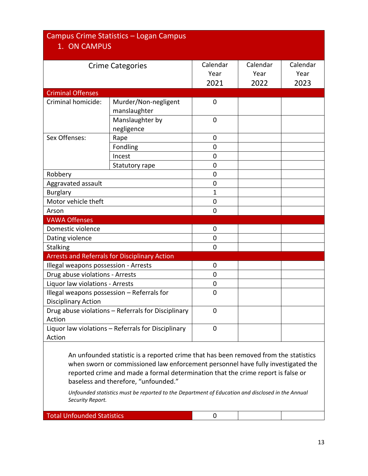#### Campus Crime Statistics – Logan Campus 1. ON CAMPUS Crime Categories **Calendar** Year 2021 Calendar Year 2022 Calendar Year 2023 Criminal Offenses Criminal homicide: | Murder/Non-negligent manslaughter 0 Manslaughter by negligence  $\Omega$ Sex Offenses: Rape Rape 1 0 Fondling and a control of the position of the control of the control of the control of the control of the control of the control of the control of the control of the control of the control of the control of the control of Incest 0 Statutory rape and a statutory rape and a set of the set of the set of the set of the set of the set of the set o Robbery **Department of the Community Community**  $\begin{bmatrix} 0 & 0 \\ 0 & 0 \end{bmatrix}$ Aggravated assault and a control of the property of the property of the control of the control of the control o Burglary 1 and 1 and 1 and 1 and 1 and 1 and 1 and 1 and 1 and 1 and 1 and 1 and 1 and 1 and 1 and 1 and 1 and 1 and 1 and 1 and 1 and 1 and 1 and 1 and 1 and 1 and 1 and 1 and 1 and 1 and 1 and 1 and 1 and 1 and 1 and 1 a Motor vehicle theft **1996 1997 1998 1998 1998 1998 1998 1998 1999 1999 1999 1999 1999 1999 1999 1999 1999 1999 1999 1999 1999 1999 1999 1999 1999 1999 1999 1999 1999** Arson 0 VAWA Offenses Domestic violence and a set of the contract of the contract of the contract of the contract of the contract of the contract of the contract of the contract of the contract of the contract of the contract of the contract of Dating violence and the contract of the contract of the contract of the contract of the contract of the contract of the contract of the contract of the contract of the contract of the contract of the contract of the contra Stalking 0 Arrests and Referrals for Disciplinary Action Illegal weapons possession - Arrests and all control of the possession - Arrests Drug abuse violations - Arrests 0 Liquor law violations - Arrests **Canadia** and Dunner and Dunner and Dunner and Dunner and Dunner and Dunner and D Illegal weapons possession – Referrals for Disciplinary Action  $\Omega$ Drug abuse violations – Referrals for Disciplinary Action  $\Omega$ Liquor law violations – Referrals for Disciplinary Action  $\Omega$

An unfounded statistic is a reported crime that has been removed from the statistics when sworn or commissioned law enforcement personnel have fully investigated the reported crime and made a formal determination that the crime report is false or baseless and therefore, "unfounded."

*Unfounded statistics must be reported to the Department of Education and disclosed in the Annual Security Report.* 

Total Unfounded Statistics 0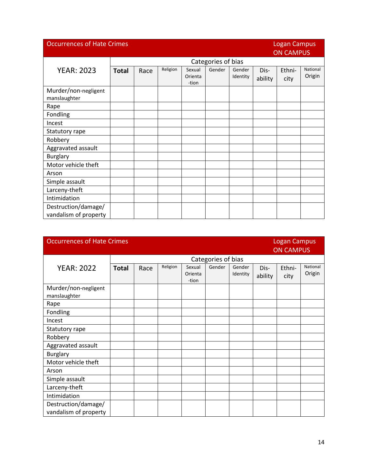| <b>Occurrences of Hate Crimes</b>            |              |                    |          |                            |        |                    |                 | <b>Logan Campus</b><br><b>ON CAMPUS</b> |                    |  |
|----------------------------------------------|--------------|--------------------|----------|----------------------------|--------|--------------------|-----------------|-----------------------------------------|--------------------|--|
|                                              |              | Categories of bias |          |                            |        |                    |                 |                                         |                    |  |
| <b>YEAR: 2023</b>                            | <b>Total</b> | Race               | Religion | Sexual<br>Orienta<br>-tion | Gender | Gender<br>Identity | Dis-<br>ability | Ethni-<br>city                          | National<br>Origin |  |
| Murder/non-negligent<br>manslaughter         |              |                    |          |                            |        |                    |                 |                                         |                    |  |
| Rape                                         |              |                    |          |                            |        |                    |                 |                                         |                    |  |
| Fondling                                     |              |                    |          |                            |        |                    |                 |                                         |                    |  |
| Incest                                       |              |                    |          |                            |        |                    |                 |                                         |                    |  |
| Statutory rape                               |              |                    |          |                            |        |                    |                 |                                         |                    |  |
| Robbery                                      |              |                    |          |                            |        |                    |                 |                                         |                    |  |
| Aggravated assault                           |              |                    |          |                            |        |                    |                 |                                         |                    |  |
| <b>Burglary</b>                              |              |                    |          |                            |        |                    |                 |                                         |                    |  |
| Motor vehicle theft                          |              |                    |          |                            |        |                    |                 |                                         |                    |  |
| Arson                                        |              |                    |          |                            |        |                    |                 |                                         |                    |  |
| Simple assault                               |              |                    |          |                            |        |                    |                 |                                         |                    |  |
| Larceny-theft                                |              |                    |          |                            |        |                    |                 |                                         |                    |  |
| Intimidation                                 |              |                    |          |                            |        |                    |                 |                                         |                    |  |
| Destruction/damage/<br>vandalism of property |              |                    |          |                            |        |                    |                 |                                         |                    |  |

| <b>Occurrences of Hate Crimes</b>            |              |      |          |                            |                    |                    |                 | <b>Logan Campus</b><br><b>ON CAMPUS</b> |                    |
|----------------------------------------------|--------------|------|----------|----------------------------|--------------------|--------------------|-----------------|-----------------------------------------|--------------------|
|                                              |              |      |          |                            | Categories of bias |                    |                 |                                         |                    |
| <b>YEAR: 2022</b>                            | <b>Total</b> | Race | Religion | Sexual<br>Orienta<br>-tion | Gender             | Gender<br>Identity | Dis-<br>ability | Ethni-<br>city                          | National<br>Origin |
| Murder/non-negligent<br>manslaughter         |              |      |          |                            |                    |                    |                 |                                         |                    |
| Rape                                         |              |      |          |                            |                    |                    |                 |                                         |                    |
| Fondling                                     |              |      |          |                            |                    |                    |                 |                                         |                    |
| Incest                                       |              |      |          |                            |                    |                    |                 |                                         |                    |
| Statutory rape                               |              |      |          |                            |                    |                    |                 |                                         |                    |
| Robbery                                      |              |      |          |                            |                    |                    |                 |                                         |                    |
| Aggravated assault                           |              |      |          |                            |                    |                    |                 |                                         |                    |
| <b>Burglary</b>                              |              |      |          |                            |                    |                    |                 |                                         |                    |
| Motor vehicle theft                          |              |      |          |                            |                    |                    |                 |                                         |                    |
| Arson                                        |              |      |          |                            |                    |                    |                 |                                         |                    |
| Simple assault                               |              |      |          |                            |                    |                    |                 |                                         |                    |
| Larceny-theft                                |              |      |          |                            |                    |                    |                 |                                         |                    |
| Intimidation                                 |              |      |          |                            |                    |                    |                 |                                         |                    |
| Destruction/damage/<br>vandalism of property |              |      |          |                            |                    |                    |                 |                                         |                    |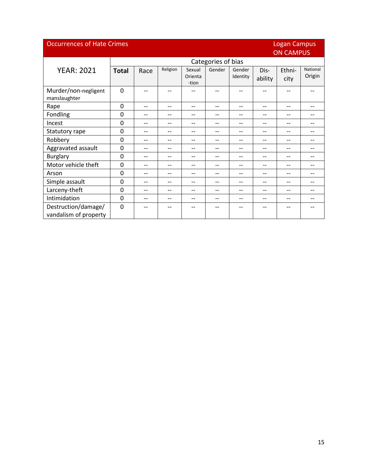| <b>Occurrences of Hate Crimes</b> |              |                  |          |                   |                    |                    |                          | <b>Logan Campus</b> |                    |  |  |
|-----------------------------------|--------------|------------------|----------|-------------------|--------------------|--------------------|--------------------------|---------------------|--------------------|--|--|
|                                   |              | <b>ON CAMPUS</b> |          |                   |                    |                    |                          |                     |                    |  |  |
|                                   |              |                  |          |                   | Categories of bias |                    |                          |                     |                    |  |  |
| <b>YEAR: 2021</b>                 | <b>Total</b> | Race             | Religion | Sexual<br>Orienta | Gender             | Gender<br>Identity | Dis-                     | Ethni-              | National<br>Origin |  |  |
|                                   |              |                  |          | -tion             |                    |                    | ability                  | city                |                    |  |  |
| Murder/non-negligent              | $\Omega$     | --               | --       |                   |                    |                    |                          |                     |                    |  |  |
| manslaughter                      |              |                  |          |                   |                    |                    |                          |                     |                    |  |  |
| Rape                              | $\Omega$     | --               | --       | $-$               | --                 | $-$                | $-$                      | --                  | --                 |  |  |
| Fondling                          | $\mathbf{0}$ | --               | --       | --                | --                 | --                 | --                       | --                  | --                 |  |  |
| Incest                            | $\Omega$     | $- -$            | --       | $-$               | --                 | --                 | --                       | --                  | --                 |  |  |
| Statutory rape                    | $\Omega$     | $-$              | --       | $-$               | --                 | --                 | $-$                      | --                  | --                 |  |  |
| Robbery                           | $\Omega$     | --               | --       | $-$               | --                 | --                 | $\overline{\phantom{a}}$ | --                  | --                 |  |  |
| Aggravated assault                | $\mathbf{0}$ | --               | --       | --                | --                 | --                 | $-$                      | --                  | --                 |  |  |
| <b>Burglary</b>                   | $\mathbf{0}$ | $-$              | --       | $-$               | --                 | --                 | $-$                      | --                  | --                 |  |  |
| Motor vehicle theft               | $\Omega$     | --               | --       | $-$               | --                 | --                 | $-$                      | --                  | --                 |  |  |
| Arson                             | $\mathbf{0}$ | --               | --       | --                | --                 | --                 | --                       | --                  | --                 |  |  |
| Simple assault                    | $\Omega$     | $-$              | --       | $-$               | --                 | --                 | $-$                      | --                  | --                 |  |  |
| Larceny-theft                     | $\Omega$     | --               | --       | --                | --                 | --                 | --                       | --                  | --                 |  |  |
| Intimidation                      | $\Omega$     | $-$              | $-$      | $-$               | --                 | --                 | $-$                      | $-$                 | --                 |  |  |
| Destruction/damage/               | $\mathbf{0}$ | --               |          |                   | --                 | --                 |                          | --                  |                    |  |  |
| vandalism of property             |              |                  |          |                   |                    |                    |                          |                     |                    |  |  |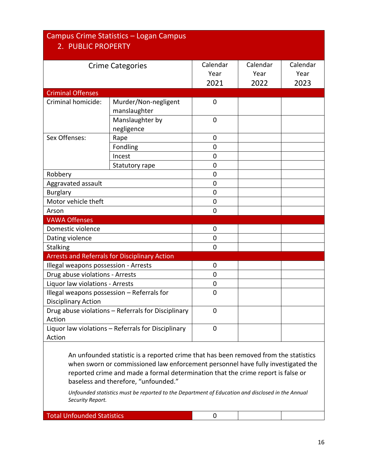| 2. PUBLIC PROPERTY                   | Campus Crime Statistics - Logan Campus               |                          |                          |                          |
|--------------------------------------|------------------------------------------------------|--------------------------|--------------------------|--------------------------|
|                                      | <b>Crime Categories</b>                              | Calendar<br>Year<br>2021 | Calendar<br>Year<br>2022 | Calendar<br>Year<br>2023 |
| <b>Criminal Offenses</b>             |                                                      |                          |                          |                          |
| Criminal homicide:                   | Murder/Non-negligent<br>manslaughter                 | $\mathbf 0$              |                          |                          |
|                                      | Manslaughter by<br>negligence                        | $\mathbf 0$              |                          |                          |
| Sex Offenses:                        | Rape                                                 | 0                        |                          |                          |
|                                      | Fondling                                             | 0                        |                          |                          |
|                                      | Incest                                               | $\overline{0}$           |                          |                          |
|                                      | Statutory rape                                       | 0                        |                          |                          |
| Robbery                              |                                                      | 0                        |                          |                          |
| Aggravated assault                   |                                                      | 0                        |                          |                          |
| <b>Burglary</b>                      |                                                      | 0                        |                          |                          |
| Motor vehicle theft                  |                                                      | 0                        |                          |                          |
| Arson                                |                                                      | $\overline{0}$           |                          |                          |
| <b>VAWA Offenses</b>                 |                                                      |                          |                          |                          |
| Domestic violence                    |                                                      | $\mathbf 0$              |                          |                          |
| Dating violence                      |                                                      | 0                        |                          |                          |
| <b>Stalking</b>                      |                                                      | $\overline{0}$           |                          |                          |
|                                      | <b>Arrests and Referrals for Disciplinary Action</b> |                          |                          |                          |
| Illegal weapons possession - Arrests |                                                      | 0                        |                          |                          |
| Drug abuse violations - Arrests      |                                                      | 0                        |                          |                          |
| Liquor law violations - Arrests      |                                                      | 0                        |                          |                          |
| <b>Disciplinary Action</b>           | Illegal weapons possession - Referrals for           | 0                        |                          |                          |
| Action                               | Drug abuse violations - Referrals for Disciplinary   | 0                        |                          |                          |
| Action                               | Liquor law violations - Referrals for Disciplinary   | 0                        |                          |                          |

An unfounded statistic is a reported crime that has been removed from the statistics when sworn or commissioned law enforcement personnel have fully investigated the reported crime and made a formal determination that the crime report is false or baseless and therefore, "unfounded."

*Unfounded statistics must be reported to the Department of Education and disclosed in the Annual Security Report.* 

Total Unfounded Statistics 0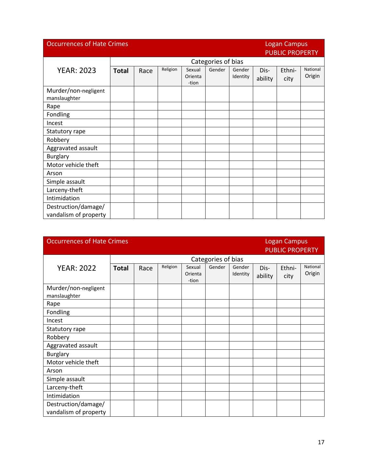| <b>Occurrences of Hate Crimes</b><br><b>Logan Campus</b><br><b>PUBLIC PROPERTY</b> |              |      |          |                            |                    |                    |                 |                |                    |
|------------------------------------------------------------------------------------|--------------|------|----------|----------------------------|--------------------|--------------------|-----------------|----------------|--------------------|
|                                                                                    |              |      |          |                            | Categories of bias |                    |                 |                |                    |
| <b>YEAR: 2023</b>                                                                  | <b>Total</b> | Race | Religion | Sexual<br>Orienta<br>-tion | Gender             | Gender<br>Identity | Dis-<br>ability | Ethni-<br>city | National<br>Origin |
| Murder/non-negligent<br>manslaughter                                               |              |      |          |                            |                    |                    |                 |                |                    |
| Rape                                                                               |              |      |          |                            |                    |                    |                 |                |                    |
| Fondling                                                                           |              |      |          |                            |                    |                    |                 |                |                    |
| Incest                                                                             |              |      |          |                            |                    |                    |                 |                |                    |
| Statutory rape                                                                     |              |      |          |                            |                    |                    |                 |                |                    |
| Robbery                                                                            |              |      |          |                            |                    |                    |                 |                |                    |
| Aggravated assault                                                                 |              |      |          |                            |                    |                    |                 |                |                    |
| <b>Burglary</b>                                                                    |              |      |          |                            |                    |                    |                 |                |                    |
| Motor vehicle theft                                                                |              |      |          |                            |                    |                    |                 |                |                    |
| Arson                                                                              |              |      |          |                            |                    |                    |                 |                |                    |
| Simple assault                                                                     |              |      |          |                            |                    |                    |                 |                |                    |
| Larceny-theft                                                                      |              |      |          |                            |                    |                    |                 |                |                    |
| Intimidation                                                                       |              |      |          |                            |                    |                    |                 |                |                    |
| Destruction/damage/<br>vandalism of property                                       |              |      |          |                            |                    |                    |                 |                |                    |

| <b>Occurrences of Hate Crimes</b>            |              |                    |          | <b>Logan Campus</b><br><b>PUBLIC PROPERTY</b> |        |                    |                 |                |                    |  |
|----------------------------------------------|--------------|--------------------|----------|-----------------------------------------------|--------|--------------------|-----------------|----------------|--------------------|--|
|                                              |              | Categories of bias |          |                                               |        |                    |                 |                |                    |  |
| <b>YEAR: 2022</b>                            | <b>Total</b> | Race               | Religion | Sexual<br>Orienta<br>-tion                    | Gender | Gender<br>Identity | Dis-<br>ability | Ethni-<br>city | National<br>Origin |  |
| Murder/non-negligent<br>manslaughter         |              |                    |          |                                               |        |                    |                 |                |                    |  |
| Rape                                         |              |                    |          |                                               |        |                    |                 |                |                    |  |
| Fondling                                     |              |                    |          |                                               |        |                    |                 |                |                    |  |
| Incest                                       |              |                    |          |                                               |        |                    |                 |                |                    |  |
| Statutory rape                               |              |                    |          |                                               |        |                    |                 |                |                    |  |
| Robbery                                      |              |                    |          |                                               |        |                    |                 |                |                    |  |
| Aggravated assault                           |              |                    |          |                                               |        |                    |                 |                |                    |  |
| <b>Burglary</b>                              |              |                    |          |                                               |        |                    |                 |                |                    |  |
| Motor vehicle theft                          |              |                    |          |                                               |        |                    |                 |                |                    |  |
| Arson                                        |              |                    |          |                                               |        |                    |                 |                |                    |  |
| Simple assault                               |              |                    |          |                                               |        |                    |                 |                |                    |  |
| Larceny-theft                                |              |                    |          |                                               |        |                    |                 |                |                    |  |
| Intimidation                                 |              |                    |          |                                               |        |                    |                 |                |                    |  |
| Destruction/damage/<br>vandalism of property |              |                    |          |                                               |        |                    |                 |                |                    |  |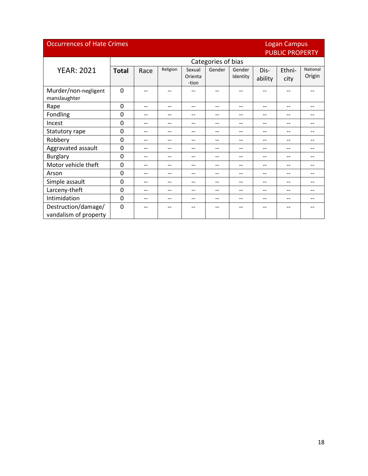#### **Occurrences of Hate Crimes**

# Logan Campus<br>PUBLIC PROPERTY

|                                      | <b>I UDLICTING LITT</b> |                    |          |                  |        |          |         |        |          |  |
|--------------------------------------|-------------------------|--------------------|----------|------------------|--------|----------|---------|--------|----------|--|
|                                      |                         | Categories of bias |          |                  |        |          |         |        |          |  |
| <b>YEAR: 2021</b>                    | <b>Total</b>            | Race               | Religion | Sexual           | Gender | Gender   | Dis-    | Ethni- | National |  |
|                                      |                         |                    |          | Orienta<br>-tion |        | Identity | ability | city   | Origin   |  |
| Murder/non-negligent<br>manslaughter | $\mathbf 0$             | --                 | --       |                  | --     | $-$      | $-$     |        |          |  |
| Rape                                 | $\mathbf 0$             | --                 | $-$      | $-$              | --     | --       | --      | --     |          |  |
| Fondling                             | 0                       | --                 | --       | --               | --     | --       | --      | --     | --       |  |
| Incest                               | $\mathbf 0$             | --                 | $- -$    | --               | --     | --       | --      | --     | --       |  |
| Statutory rape                       | $\mathbf 0$             | --                 | $-$      | --               | --     | --       | --      | --     | --       |  |
| Robbery                              | $\mathbf 0$             | --                 | --       | --               | --     | --       | --      | --     | --       |  |
| Aggravated assault                   | $\mathbf{0}$            | --                 | --       |                  | --     | --       | --      | --     | --       |  |
| <b>Burglary</b>                      | $\mathbf{0}$            | --                 | $-$      | --               | --     | --       | --      | --     | --       |  |
| Motor vehicle theft                  | $\mathbf{0}$            | --                 | --       |                  | --     | --       | --      | --     | --       |  |
| Arson                                | 0                       | --                 | --       |                  | --     | --       | --      | --     | --       |  |
| Simple assault                       | 0                       | --                 |          |                  | --     | --       | --      | --     | --       |  |
| Larceny-theft                        | 0                       | --                 | $-$      | $-$              | --     | --       | --      | --     | --       |  |
| Intimidation                         | $\mathbf{0}$            | --                 | $-$      | --               | --     | --       |         | --     | --       |  |
| Destruction/damage/                  | $\Omega$                | --                 |          |                  | --     | --       |         | --     |          |  |
| vandalism of property                |                         |                    |          |                  |        |          |         |        |          |  |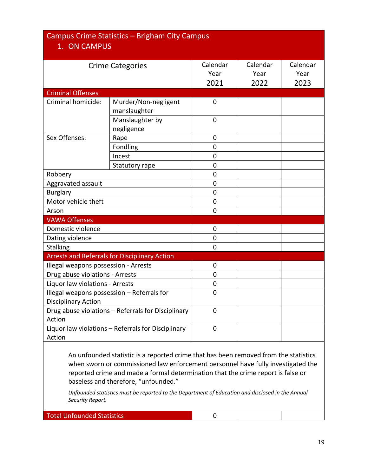#### Campus Crime Statistics – Brigham City Campus 1. ON CAMPUS Crime Categories **Calendar** Year 2021 Calendar Year 2022 Calendar Year 2023 Criminal Offenses Criminal homicide: | Murder/Non-negligent manslaughter 0 Manslaughter by negligence  $\Omega$ Sex Offenses: Rape Rape 1 0 Fondling and a control of the position of the control of the control of the control of the control of the control of the control of the control of the control of the control of the control of the control of the control of Incest 0 Statutory rape and a statutory rape and a set of the set of the set of the set of the set of the set of the set o Robbery **Department of the Community Community**  $\begin{bmatrix} 0 & 0 \\ 0 & 0 \end{bmatrix}$ Aggravated assault and 0 Burglary **Designation Control** Control Designation Control Control Control Control Control Control Control Control Control Control Control Control Control Control Control Control Control Control Control Control Control Con Motor vehicle theft **1996 1997 1998 1998 1998 1998 1998 1998 1999 1999 1999 1999 1999 1999** Arson 0 VAWA Offenses Domestic violence and a control of the Domestic violence Dating violence and the contract of the contract of the contract of the contract of the contract of the contract of the contract of the contract of the contract of the contract of the contract of the contract of the contra Stalking 0 Arrests and Referrals for Disciplinary Action Illegal weapons possession - Arrests and all control of the possession - Arrests Drug abuse violations - Arrests **Canadian Contract Contract Contract Contract Contract Contract Contract Contract Contract Contract Contract Contract Contract Contract Contract Contract Contract Contract Contract Contract** Liquor law violations - Arrests **Canadia** and Dunner and Dunner and Dunner and Dunner and Dunner and Dunner and D Illegal weapons possession – Referrals for Disciplinary Action  $\Omega$ Drug abuse violations – Referrals for Disciplinary Action  $\Omega$ Liquor law violations – Referrals for Disciplinary Action  $\Omega$

An unfounded statistic is a reported crime that has been removed from the statistics when sworn or commissioned law enforcement personnel have fully investigated the reported crime and made a formal determination that the crime report is false or baseless and therefore, "unfounded."

*Unfounded statistics must be reported to the Department of Education and disclosed in the Annual Security Report.* 

Total Unfounded Statistics 0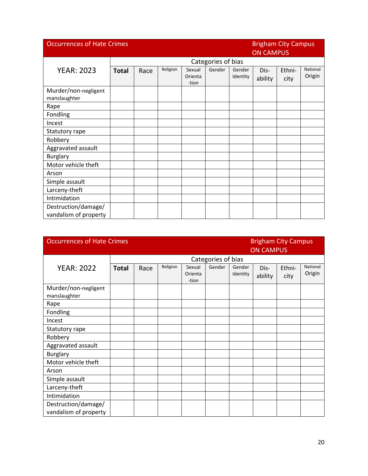| <b>Occurrences of Hate Crimes</b>            |              |                    |          |                            |        | <b>Brigham City Campus</b><br><b>ON CAMPUS</b> |                 |                |                    |
|----------------------------------------------|--------------|--------------------|----------|----------------------------|--------|------------------------------------------------|-----------------|----------------|--------------------|
|                                              |              | Categories of bias |          |                            |        |                                                |                 |                |                    |
| <b>YEAR: 2023</b>                            | <b>Total</b> | Race               | Religion | Sexual<br>Orienta<br>-tion | Gender | Gender<br>Identity                             | Dis-<br>ability | Ethni-<br>city | National<br>Origin |
| Murder/non-negligent<br>manslaughter         |              |                    |          |                            |        |                                                |                 |                |                    |
| Rape                                         |              |                    |          |                            |        |                                                |                 |                |                    |
| Fondling                                     |              |                    |          |                            |        |                                                |                 |                |                    |
| Incest                                       |              |                    |          |                            |        |                                                |                 |                |                    |
| Statutory rape                               |              |                    |          |                            |        |                                                |                 |                |                    |
| Robbery                                      |              |                    |          |                            |        |                                                |                 |                |                    |
| Aggravated assault                           |              |                    |          |                            |        |                                                |                 |                |                    |
| <b>Burglary</b>                              |              |                    |          |                            |        |                                                |                 |                |                    |
| Motor vehicle theft                          |              |                    |          |                            |        |                                                |                 |                |                    |
| Arson                                        |              |                    |          |                            |        |                                                |                 |                |                    |
| Simple assault                               |              |                    |          |                            |        |                                                |                 |                |                    |
| Larceny-theft                                |              |                    |          |                            |        |                                                |                 |                |                    |
| Intimidation                                 |              |                    |          |                            |        |                                                |                 |                |                    |
| Destruction/damage/<br>vandalism of property |              |                    |          |                            |        |                                                |                 |                |                    |

| <b>Occurrences of Hate Crimes</b>            |              |      |          |                            |                    |                    | <b>Brigham City Campus</b><br><b>ON CAMPUS</b> |                |                    |
|----------------------------------------------|--------------|------|----------|----------------------------|--------------------|--------------------|------------------------------------------------|----------------|--------------------|
|                                              |              |      |          |                            | Categories of bias |                    |                                                |                |                    |
| <b>YEAR: 2022</b>                            | <b>Total</b> | Race | Religion | Sexual<br>Orienta<br>-tion | Gender             | Gender<br>Identity | Dis-<br>ability                                | Ethni-<br>city | National<br>Origin |
| Murder/non-negligent<br>manslaughter         |              |      |          |                            |                    |                    |                                                |                |                    |
| Rape                                         |              |      |          |                            |                    |                    |                                                |                |                    |
| Fondling                                     |              |      |          |                            |                    |                    |                                                |                |                    |
| Incest                                       |              |      |          |                            |                    |                    |                                                |                |                    |
| Statutory rape                               |              |      |          |                            |                    |                    |                                                |                |                    |
| Robbery                                      |              |      |          |                            |                    |                    |                                                |                |                    |
| Aggravated assault                           |              |      |          |                            |                    |                    |                                                |                |                    |
| <b>Burglary</b>                              |              |      |          |                            |                    |                    |                                                |                |                    |
| Motor vehicle theft                          |              |      |          |                            |                    |                    |                                                |                |                    |
| Arson                                        |              |      |          |                            |                    |                    |                                                |                |                    |
| Simple assault                               |              |      |          |                            |                    |                    |                                                |                |                    |
| Larceny-theft                                |              |      |          |                            |                    |                    |                                                |                |                    |
| Intimidation                                 |              |      |          |                            |                    |                    |                                                |                |                    |
| Destruction/damage/<br>vandalism of property |              |      |          |                            |                    |                    |                                                |                |                    |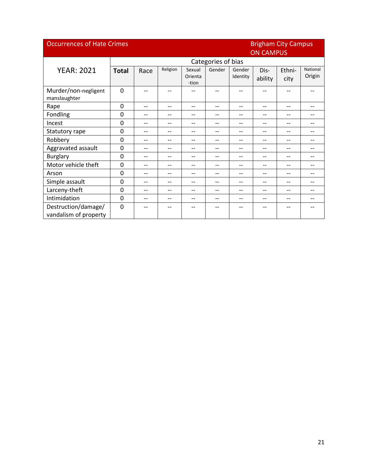|                                              | <b>Occurrences of Hate Crimes</b><br><b>Brigham City Campus</b> |      |          |                            |                    |                    |                          |                |                    |  |
|----------------------------------------------|-----------------------------------------------------------------|------|----------|----------------------------|--------------------|--------------------|--------------------------|----------------|--------------------|--|
|                                              |                                                                 |      |          |                            |                    |                    | <b>ON CAMPUS</b>         |                |                    |  |
|                                              |                                                                 |      |          |                            | Categories of bias |                    |                          |                |                    |  |
| <b>YEAR: 2021</b>                            | <b>Total</b>                                                    | Race | Religion | Sexual<br>Orienta<br>-tion | Gender             | Gender<br>Identity | Dis-<br>ability          | Ethni-<br>city | National<br>Origin |  |
| Murder/non-negligent<br>manslaughter         | $\mathbf 0$                                                     |      |          |                            |                    |                    |                          |                |                    |  |
| Rape                                         | $\Omega$                                                        | --   | --       | $-$                        | --                 | --                 | $\overline{\phantom{a}}$ | --             | --                 |  |
| Fondling                                     | $\Omega$                                                        | --   | --       | $-$                        | --                 | --                 | --                       | --             |                    |  |
| Incest                                       | $\Omega$                                                        | $-$  | --       | $\overline{\phantom{a}}$   | --                 | --                 | $\overline{\phantom{a}}$ | --             | --                 |  |
| Statutory rape                               | $\Omega$                                                        | --   | --       | --                         | --                 | --                 | $-$                      | --             | --                 |  |
| Robbery                                      | $\mathbf{0}$                                                    | --   | --       | $-$                        | --                 | --                 | $ -$                     | --             | --                 |  |
| Aggravated assault                           | 0                                                               | --   | --       | $-$                        | --                 | --                 | $-$                      | --             |                    |  |
| <b>Burglary</b>                              | $\mathbf 0$                                                     | --   | --       | --                         | --                 | --                 | --                       | --             | --                 |  |
| Motor vehicle theft                          | $\Omega$                                                        | --   | --       | --                         | --                 | --                 | $-$                      | --             | --                 |  |
| Arson                                        | $\mathbf 0$                                                     | --   | --       | $-$                        | --                 | --                 | $-$                      | --             |                    |  |
| Simple assault                               | $\Omega$                                                        | $-$  | --       | $-$                        | --                 | --                 | $\overline{\phantom{a}}$ | --             | --                 |  |
| Larceny-theft                                | $\Omega$                                                        | --   | --       | --                         | --                 | --                 | --                       | --             |                    |  |
| Intimidation                                 | $\mathbf 0$                                                     | --   | --       | $-$                        | --                 | --                 | $-$                      | --             |                    |  |
| Destruction/damage/<br>vandalism of property | $\mathbf{0}$                                                    | --   | --       |                            | --                 | --                 |                          | --             |                    |  |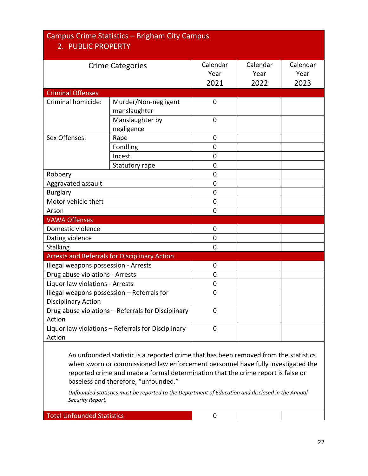| 2. PUBLIC PROPERTY                   | Campus Crime Statistics - Brigham City Campus        |                          |                          |                          |
|--------------------------------------|------------------------------------------------------|--------------------------|--------------------------|--------------------------|
|                                      | <b>Crime Categories</b>                              | Calendar<br>Year<br>2021 | Calendar<br>Year<br>2022 | Calendar<br>Year<br>2023 |
| <b>Criminal Offenses</b>             |                                                      |                          |                          |                          |
| Criminal homicide:                   | Murder/Non-negligent<br>manslaughter                 | $\mathbf 0$              |                          |                          |
|                                      | Manslaughter by<br>negligence                        | 0                        |                          |                          |
| Sex Offenses:                        | Rape                                                 | 0                        |                          |                          |
|                                      | Fondling                                             | 0                        |                          |                          |
|                                      | Incest                                               | 0                        |                          |                          |
|                                      | Statutory rape                                       | 0                        |                          |                          |
| Robbery                              |                                                      | 0                        |                          |                          |
| Aggravated assault                   |                                                      | 0                        |                          |                          |
| <b>Burglary</b>                      |                                                      | 0                        |                          |                          |
| Motor vehicle theft                  |                                                      | 0                        |                          |                          |
| Arson                                |                                                      | 0                        |                          |                          |
| <b>VAWA Offenses</b>                 |                                                      |                          |                          |                          |
| Domestic violence                    |                                                      | 0                        |                          |                          |
| Dating violence                      |                                                      | 0                        |                          |                          |
| <b>Stalking</b>                      |                                                      | 0                        |                          |                          |
|                                      | <b>Arrests and Referrals for Disciplinary Action</b> |                          |                          |                          |
| Illegal weapons possession - Arrests |                                                      | 0                        |                          |                          |
| Drug abuse violations - Arrests      |                                                      | 0                        |                          |                          |
| Liquor law violations - Arrests      |                                                      | 0                        |                          |                          |
| <b>Disciplinary Action</b>           | Illegal weapons possession - Referrals for           | 0                        |                          |                          |
| Action                               | Drug abuse violations - Referrals for Disciplinary   | 0                        |                          |                          |
| Action                               | Liquor law violations - Referrals for Disciplinary   | $\pmb{0}$                |                          |                          |
|                                      |                                                      |                          |                          |                          |

An unfounded statistic is a reported crime that has been removed from the statistics when sworn or commissioned law enforcement personnel have fully investigated the reported crime and made a formal determination that the crime report is false or baseless and therefore, "unfounded."

*Unfounded statistics must be reported to the Department of Education and disclosed in the Annual Security Report.* 

Total Unfounded Statistics 0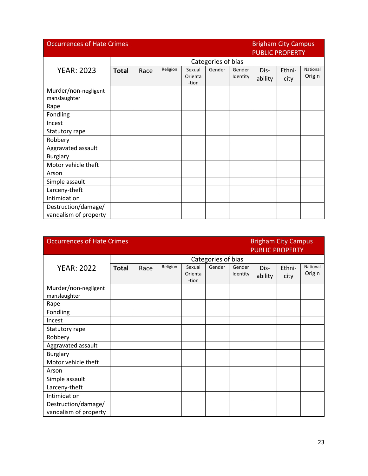| <b>Occurrences of Hate Crimes</b>            |                    |      |          |                            | <b>Brigham City Campus</b><br><b>PUBLIC PROPERTY</b> |                    |                 |                |                    |
|----------------------------------------------|--------------------|------|----------|----------------------------|------------------------------------------------------|--------------------|-----------------|----------------|--------------------|
|                                              | Categories of bias |      |          |                            |                                                      |                    |                 |                |                    |
| <b>YEAR: 2023</b>                            | <b>Total</b>       | Race | Religion | Sexual<br>Orienta<br>-tion | Gender                                               | Gender<br>Identity | Dis-<br>ability | Ethni-<br>city | National<br>Origin |
| Murder/non-negligent<br>manslaughter         |                    |      |          |                            |                                                      |                    |                 |                |                    |
| Rape                                         |                    |      |          |                            |                                                      |                    |                 |                |                    |
| Fondling                                     |                    |      |          |                            |                                                      |                    |                 |                |                    |
| Incest                                       |                    |      |          |                            |                                                      |                    |                 |                |                    |
| Statutory rape                               |                    |      |          |                            |                                                      |                    |                 |                |                    |
| Robbery                                      |                    |      |          |                            |                                                      |                    |                 |                |                    |
| Aggravated assault                           |                    |      |          |                            |                                                      |                    |                 |                |                    |
| <b>Burglary</b>                              |                    |      |          |                            |                                                      |                    |                 |                |                    |
| Motor vehicle theft                          |                    |      |          |                            |                                                      |                    |                 |                |                    |
| Arson                                        |                    |      |          |                            |                                                      |                    |                 |                |                    |
| Simple assault                               |                    |      |          |                            |                                                      |                    |                 |                |                    |
| Larceny-theft                                |                    |      |          |                            |                                                      |                    |                 |                |                    |
| Intimidation                                 |                    |      |          |                            |                                                      |                    |                 |                |                    |
| Destruction/damage/<br>vandalism of property |                    |      |          |                            |                                                      |                    |                 |                |                    |

| <b>Occurrences of Hate Crimes</b>            |                    |      |          |                            |        | <b>Brigham City Campus</b><br><b>PUBLIC PROPERTY</b> |                 |                |                    |
|----------------------------------------------|--------------------|------|----------|----------------------------|--------|------------------------------------------------------|-----------------|----------------|--------------------|
|                                              | Categories of bias |      |          |                            |        |                                                      |                 |                |                    |
| <b>YEAR: 2022</b>                            | <b>Total</b>       | Race | Religion | Sexual<br>Orienta<br>-tion | Gender | Gender<br>Identity                                   | Dis-<br>ability | Ethni-<br>city | National<br>Origin |
| Murder/non-negligent<br>manslaughter         |                    |      |          |                            |        |                                                      |                 |                |                    |
| Rape                                         |                    |      |          |                            |        |                                                      |                 |                |                    |
| Fondling                                     |                    |      |          |                            |        |                                                      |                 |                |                    |
| Incest                                       |                    |      |          |                            |        |                                                      |                 |                |                    |
| Statutory rape                               |                    |      |          |                            |        |                                                      |                 |                |                    |
| Robbery                                      |                    |      |          |                            |        |                                                      |                 |                |                    |
| Aggravated assault                           |                    |      |          |                            |        |                                                      |                 |                |                    |
| <b>Burglary</b>                              |                    |      |          |                            |        |                                                      |                 |                |                    |
| Motor vehicle theft                          |                    |      |          |                            |        |                                                      |                 |                |                    |
| Arson                                        |                    |      |          |                            |        |                                                      |                 |                |                    |
| Simple assault                               |                    |      |          |                            |        |                                                      |                 |                |                    |
| Larceny-theft                                |                    |      |          |                            |        |                                                      |                 |                |                    |
| Intimidation                                 |                    |      |          |                            |        |                                                      |                 |                |                    |
| Destruction/damage/<br>vandalism of property |                    |      |          |                            |        |                                                      |                 |                |                    |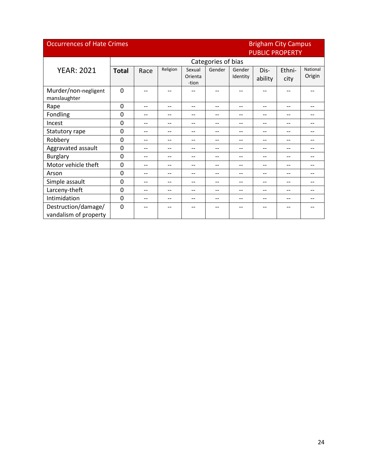| <b>Occurrences of Hate Crimes</b>            |              |                    |          |                            |        | <b>Brigham City Campus</b><br><b>PUBLIC PROPERTY</b> |                 |                |                    |  |
|----------------------------------------------|--------------|--------------------|----------|----------------------------|--------|------------------------------------------------------|-----------------|----------------|--------------------|--|
|                                              |              | Categories of bias |          |                            |        |                                                      |                 |                |                    |  |
| <b>YEAR: 2021</b>                            | <b>Total</b> | Race               | Religion | Sexual<br>Orienta<br>-tion | Gender | Gender<br>Identity                                   | Dis-<br>ability | Ethni-<br>city | National<br>Origin |  |
| Murder/non-negligent<br>manslaughter         | $\Omega$     | --                 |          |                            |        |                                                      |                 |                |                    |  |
| Rape                                         | $\Omega$     | --                 | --       | --                         | $-$    | $-$                                                  | $-$             | --             | --                 |  |
| Fondling                                     | 0            | --                 | --       | --                         | --     | --                                                   | --              | --             |                    |  |
| Incest                                       | $\mathbf{0}$ | $-$                | $-$      | --                         | $-$    | $-$                                                  | --              | $-$            | --                 |  |
| Statutory rape                               | $\mathbf 0$  | --                 | --       | --                         | $-$    | $-$                                                  | --              | $-$            | --                 |  |
| Robbery                                      | $\Omega$     | --                 | --       | --                         | --     | $-$                                                  | --              | $-$            | --                 |  |
| Aggravated assault                           | $\mathbf 0$  | --                 | $-$      | --                         | $-$    | $\overline{\phantom{a}}$                             | --              | --             | --                 |  |
| <b>Burglary</b>                              | $\mathbf 0$  | --                 | --       | --                         | $-$    | $\overline{\phantom{a}}$                             | --              | $-$            |                    |  |
| Motor vehicle theft                          | 0            | --                 | --       | --                         | --     | $-$                                                  | --              | $-$            |                    |  |
| Arson                                        | $\mathbf 0$  | --                 | --       | --                         | --     | $-$                                                  | --              | $-$            | --                 |  |
| Simple assault                               | $\mathbf 0$  | --                 | --       | --                         | --     | $\overline{\phantom{a}}$                             | --              | --             | --                 |  |
| Larceny-theft                                | 0            | --                 | --       | --                         | --     | --                                                   | --              | --             |                    |  |
| Intimidation                                 | $\mathbf 0$  | --                 | --       | --                         | $-$    | $\overline{\phantom{a}}$                             | --              | --             | --                 |  |
| Destruction/damage/<br>vandalism of property | $\mathbf 0$  |                    |          |                            |        |                                                      |                 |                |                    |  |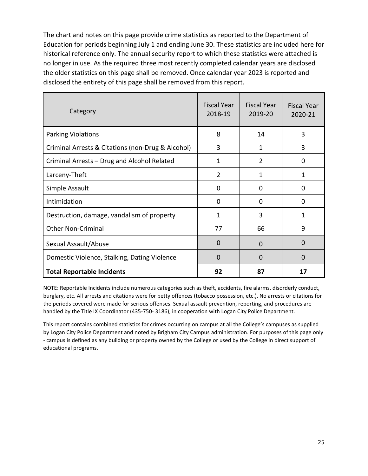The chart and notes on this page provide crime statistics as reported to the Department of Education for periods beginning July 1 and ending June 30. These statistics are included here for historical reference only. The annual security report to which these statistics were attached is no longer in use. As the required three most recently completed calendar years are disclosed the older statistics on this page shall be removed. Once calendar year 2023 is reported and disclosed the entirety of this page shall be removed from this report.

| Category                                          | <b>Fiscal Year</b><br>2018-19 | <b>Fiscal Year</b><br>2019-20 | <b>Fiscal Year</b><br>2020-21 |
|---------------------------------------------------|-------------------------------|-------------------------------|-------------------------------|
| <b>Parking Violations</b>                         | 8                             | 14                            | 3                             |
| Criminal Arrests & Citations (non-Drug & Alcohol) | 3                             | 1                             | 3                             |
| Criminal Arrests - Drug and Alcohol Related       | 1                             | $\overline{2}$                | 0                             |
| Larceny-Theft                                     | $\overline{2}$                | 1                             | 1                             |
| Simple Assault                                    | 0                             | 0                             | 0                             |
| Intimidation                                      | 0                             | <sup>0</sup>                  | <sup>0</sup>                  |
| Destruction, damage, vandalism of property        | 1                             | 3                             | 1                             |
| <b>Other Non-Criminal</b>                         | 77                            | 66                            | 9                             |
| Sexual Assault/Abuse                              | $\Omega$                      | $\Omega$                      | 0                             |
| Domestic Violence, Stalking, Dating Violence      | $\Omega$                      | $\Omega$                      | O                             |
| <b>Total Reportable Incidents</b>                 | 92                            | 87                            | 17                            |

NOTE: Reportable Incidents include numerous categories such as theft, accidents, fire alarms, disorderly conduct, burglary, etc. All arrests and citations were for petty offences (tobacco possession, etc.). No arrests or citations for the periods covered were made for serious offenses. Sexual assault prevention, reporting, and procedures are handled by the Title IX Coordinator (435-750- 3186), in cooperation with Logan City Police Department.

This report contains combined statistics for crimes occurring on campus at all the College's campuses as supplied by Logan City Police Department and noted by Brigham City Campus administration. For purposes of this page only - campus is defined as any building or property owned by the College or used by the College in direct support of educational programs.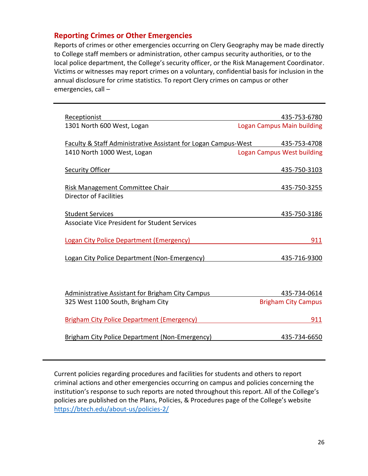#### **Reporting Crimes or Other Emergencies**

Reports of crimes or other emergencies occurring on Clery Geography may be made directly to College staff members or administration, other campus security authorities, or to the local police department, the College's security officer, or the Risk Management Coordinator. Victims or witnesses may report crimes on a voluntary, confidential basis for inclusion in the annual disclosure for crime statistics. To report Clery crimes on campus or other emergencies, call –

| Receptionist                                                                | 435-753-6780               |
|-----------------------------------------------------------------------------|----------------------------|
| 1301 North 600 West, Logan                                                  | Logan Campus Main building |
| Faculty & Staff Administrative Assistant for Logan Campus-West 435-753-4708 |                            |
| 1410 North 1000 West, Logan                                                 | Logan Campus West building |
| <b>Security Officer</b>                                                     | 435-750-3103               |
| Risk Management Committee Chair                                             | 435-750-3255               |
| Director of Facilities                                                      |                            |
| <b>Student Services</b>                                                     | 435-750-3186               |
| <b>Associate Vice President for Student Services</b>                        |                            |
| Logan City Police Department (Emergency)                                    | 911                        |
| Logan City Police Department (Non-Emergency)                                | 435-716-9300               |
|                                                                             |                            |
| Administrative Assistant for Brigham City Campus                            | 435-734-0614               |
| 325 West 1100 South, Brigham City                                           | <b>Brigham City Campus</b> |
| <b>Brigham City Police Department (Emergency)</b>                           | 911                        |
| Brigham City Police Department (Non-Emergency)                              | 435-734-6650               |

Current policies regarding procedures and facilities for students and others to report criminal actions and other emergencies occurring on campus and policies concerning the institution's response to such reports are noted throughout this report. All of the College's policies are published on the Plans, Policies, & Procedures page of the College's website <https://btech.edu/about-us/policies-2/>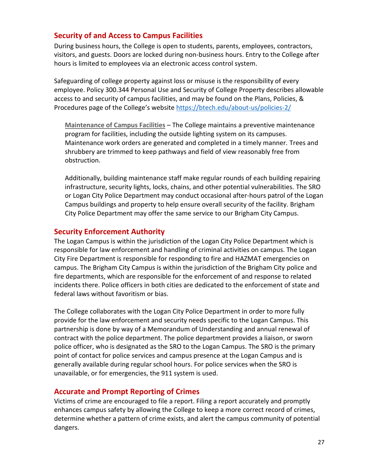#### **Security of and Access to Campus Facilities**

During business hours, the College is open to students, parents, employees, contractors, visitors, and guests. Doors are locked during non-business hours. Entry to the College after hours is limited to employees via an electronic access control system.

Safeguarding of college property against loss or misuse is the responsibility of every employee. Policy 300.344 Personal Use and Security of College Property describes allowable access to and security of campus facilities, and may be found on the Plans, Policies, & Procedures page of the College's website <https://btech.edu/about-us/policies-2/>

**Maintenance of Campus Facilities** – The College maintains a preventive maintenance program for facilities, including the outside lighting system on its campuses. Maintenance work orders are generated and completed in a timely manner. Trees and shrubbery are trimmed to keep pathways and field of view reasonably free from obstruction.

Additionally, building maintenance staff make regular rounds of each building repairing infrastructure, security lights, locks, chains, and other potential vulnerabilities. The SRO or Logan City Police Department may conduct occasional after-hours patrol of the Logan Campus buildings and property to help ensure overall security of the facility. Brigham City Police Department may offer the same service to our Brigham City Campus.

#### **Security Enforcement Authority**

The Logan Campus is within the jurisdiction of the Logan City Police Department which is responsible for law enforcement and handling of criminal activities on campus. The Logan City Fire Department is responsible for responding to fire and HAZMAT emergencies on campus. The Brigham City Campus is within the jurisdiction of the Brigham City police and fire departments, which are responsible for the enforcement of and response to related incidents there. Police officers in both cities are dedicated to the enforcement of state and federal laws without favoritism or bias.

The College collaborates with the Logan City Police Department in order to more fully provide for the law enforcement and security needs specific to the Logan Campus. This partnership is done by way of a Memorandum of Understanding and annual renewal of contract with the police department. The police department provides a liaison, or sworn police officer, who is designated as the SRO to the Logan Campus. The SRO is the primary point of contact for police services and campus presence at the Logan Campus and is generally available during regular school hours. For police services when the SRO is unavailable, or for emergencies, the 911 system is used.

#### **Accurate and Prompt Reporting of Crimes**

Victims of crime are encouraged to file a report. Filing a report accurately and promptly enhances campus safety by allowing the College to keep a more correct record of crimes, determine whether a pattern of crime exists, and alert the campus community of potential dangers.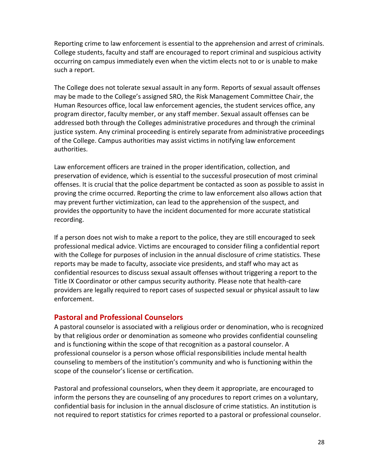Reporting crime to law enforcement is essential to the apprehension and arrest of criminals. College students, faculty and staff are encouraged to report criminal and suspicious activity occurring on campus immediately even when the victim elects not to or is unable to make such a report.

The College does not tolerate sexual assault in any form. Reports of sexual assault offenses may be made to the College's assigned SRO, the Risk Management Committee Chair, the Human Resources office, local law enforcement agencies, the student services office, any program director, faculty member, or any staff member. Sexual assault offenses can be addressed both through the Colleges administrative procedures and through the criminal justice system. Any criminal proceeding is entirely separate from administrative proceedings of the College. Campus authorities may assist victims in notifying law enforcement authorities.

Law enforcement officers are trained in the proper identification, collection, and preservation of evidence, which is essential to the successful prosecution of most criminal offenses. It is crucial that the police department be contacted as soon as possible to assist in proving the crime occurred. Reporting the crime to law enforcement also allows action that may prevent further victimization, can lead to the apprehension of the suspect, and provides the opportunity to have the incident documented for more accurate statistical recording.

If a person does not wish to make a report to the police, they are still encouraged to seek professional medical advice. Victims are encouraged to consider filing a confidential report with the College for purposes of inclusion in the annual disclosure of crime statistics. These reports may be made to faculty, associate vice presidents, and staff who may act as confidential resources to discuss sexual assault offenses without triggering a report to the Title IX Coordinator or other campus security authority. Please note that health-care providers are legally required to report cases of suspected sexual or physical assault to law enforcement.

#### **Pastoral and Professional Counselors**

A pastoral counselor is associated with a religious order or denomination, who is recognized by that religious order or denomination as someone who provides confidential counseling and is functioning within the scope of that recognition as a pastoral counselor. A professional counselor is a person whose official responsibilities include mental health counseling to members of the institution's community and who is functioning within the scope of the counselor's license or certification.

Pastoral and professional counselors, when they deem it appropriate, are encouraged to inform the persons they are counseling of any procedures to report crimes on a voluntary, confidential basis for inclusion in the annual disclosure of crime statistics. An institution is not required to report statistics for crimes reported to a pastoral or professional counselor.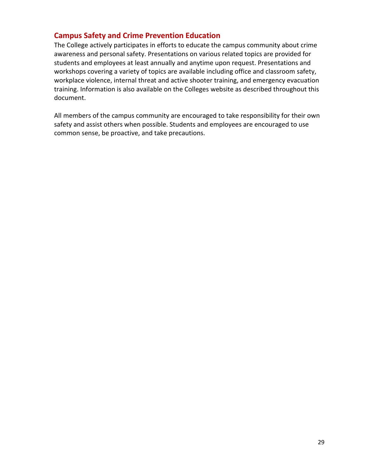#### **Campus Safety and Crime Prevention Education**

The College actively participates in efforts to educate the campus community about crime awareness and personal safety. Presentations on various related topics are provided for students and employees at least annually and anytime upon request. Presentations and workshops covering a variety of topics are available including office and classroom safety, workplace violence, internal threat and active shooter training, and emergency evacuation training. Information is also available on the Colleges website as described throughout this document.

All members of the campus community are encouraged to take responsibility for their own safety and assist others when possible. Students and employees are encouraged to use common sense, be proactive, and take precautions.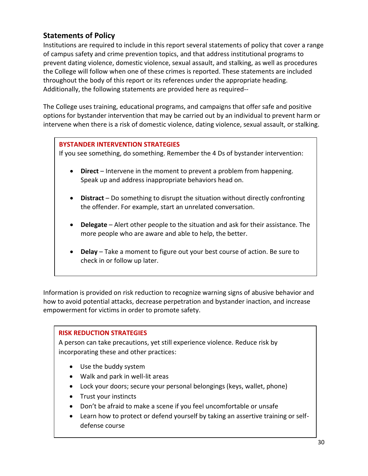# **Statements of Policy**

Institutions are required to include in this report several statements of policy that cover a range of campus safety and crime prevention topics, and that address institutional programs to prevent dating violence, domestic violence, sexual assault, and stalking, as well as procedures the College will follow when one of these crimes is reported. These statements are included throughout the body of this report or its references under the appropriate heading. Additionally, the following statements are provided here as required--

The College uses training, educational programs, and campaigns that offer safe and positive options for bystander intervention that may be carried out by an individual to prevent harm or intervene when there is a risk of domestic violence, dating violence, sexual assault, or stalking.

#### **BYSTANDER INTERVENTION STRATEGIES**

If you see something, do something. Remember the 4 Ds of bystander intervention:

- **Direct** Intervene in the moment to prevent a problem from happening. Speak up and address inappropriate behaviors head on.
- **Distract** Do something to disrupt the situation without directly confronting the offender. For example, start an unrelated conversation.
- **Delegate** Alert other people to the situation and ask for their assistance. The more people who are aware and able to help, the better.
- **Delay** Take a moment to figure out your best course of action. Be sure to check in or follow up later.

Information is provided on risk reduction to recognize warning signs of abusive behavior and how to avoid potential attacks, decrease perpetration and bystander inaction, and increase empowerment for victims in order to promote safety.

#### **RISK REDUCTION STRATEGIES**

A person can take precautions, yet still experience violence. Reduce risk by incorporating these and other practices:

- Use the buddy system
- Walk and park in well-lit areas
- Lock your doors; secure your personal belongings (keys, wallet, phone)
- Trust your instincts
- Don't be afraid to make a scene if you feel uncomfortable or unsafe
- Learn how to protect or defend yourself by taking an assertive training or selfdefense course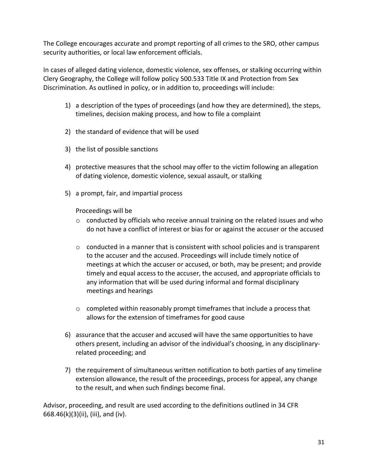The College encourages accurate and prompt reporting of all crimes to the SRO, other campus security authorities, or local law enforcement officials.

In cases of alleged dating violence, domestic violence, sex offenses, or stalking occurring within Clery Geography, the College will follow policy 500.533 Title IX and Protection from Sex Discrimination. As outlined in policy, or in addition to, proceedings will include:

- 1) a description of the types of proceedings (and how they are determined), the steps, timelines, decision making process, and how to file a complaint
- 2) the standard of evidence that will be used
- 3) the list of possible sanctions
- 4) protective measures that the school may offer to the victim following an allegation of dating violence, domestic violence, sexual assault, or stalking
- 5) a prompt, fair, and impartial process

Proceedings will be

- $\circ$  conducted by officials who receive annual training on the related issues and who do not have a conflict of interest or bias for or against the accuser or the accused
- $\circ$  conducted in a manner that is consistent with school policies and is transparent to the accuser and the accused. Proceedings will include timely notice of meetings at which the accuser or accused, or both, may be present; and provide timely and equal access to the accuser, the accused, and appropriate officials to any information that will be used during informal and formal disciplinary meetings and hearings
- $\circ$  completed within reasonably prompt timeframes that include a process that allows for the extension of timeframes for good cause
- 6) assurance that the accuser and accused will have the same opportunities to have others present, including an advisor of the individual's choosing, in any disciplinaryrelated proceeding; and
- 7) the requirement of simultaneous written notification to both parties of any timeline extension allowance, the result of the proceedings, process for appeal, any change to the result, and when such findings become final.

Advisor, proceeding, and result are used according to the definitions outlined in 34 CFR 668.46(k)(3)(ii), (iii), and (iv).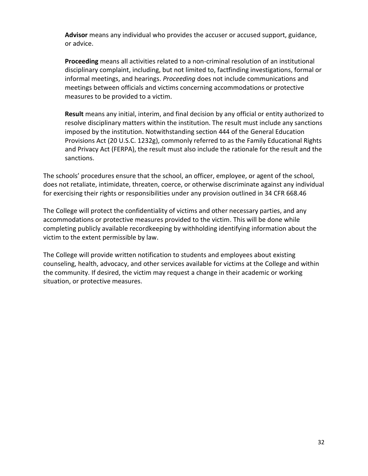**Advisor** means any individual who provides the accuser or accused support, guidance, or advice.

**Proceeding** means all activities related to a non-criminal resolution of an institutional disciplinary complaint, including, but not limited to, factfinding investigations, formal or informal meetings, and hearings. *Proceeding* does not include communications and meetings between officials and victims concerning accommodations or protective measures to be provided to a victim.

**Result** means any initial, interim, and final decision by any official or entity authorized to resolve disciplinary matters within the institution. The result must include any sanctions imposed by the institution. Notwithstanding section 444 of the [General Education](https://www.law.cornell.edu/topn/general_education_provisions_act)  [Provisions Act](https://www.law.cornell.edu/topn/general_education_provisions_act) [\(20 U.S.C. 1232g\)](https://www.law.cornell.edu/uscode/text/20/1232g), commonly referred to as the Family Educational Rights and [Privacy Act](https://www.law.cornell.edu/topn/privacy_act) (FERPA), the result must also include the rationale for the result and the sanctions.

The schools' procedures ensure that the school, an officer, employee, or agent of the school, does not retaliate, intimidate, threaten, coerce, or otherwise discriminate against any individual for exercising their rights or responsibilities under any provision outlined in 34 CFR 668.46

The College will protect the confidentiality of victims and other necessary parties, and any accommodations or protective measures provided to the victim. This will be done while completing publicly available recordkeeping by withholding identifying information about the victim to the extent permissible by law.

The College will provide written notification to students and employees about existing counseling, health, advocacy, and other services available for victims at the College and within the community. If desired, the victim may request a change in their academic or working situation, or protective measures.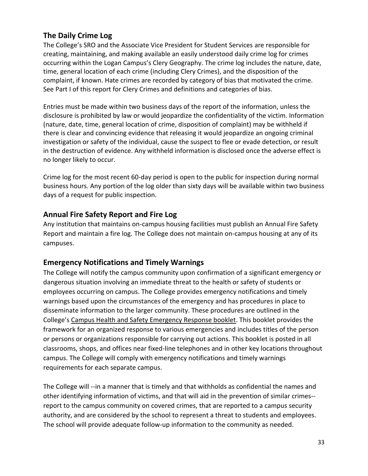# **The Daily Crime Log**

The College's SRO and the Associate Vice President for Student Services are responsible for creating, maintaining, and making available an easily understood daily crime log for crimes occurring within the Logan Campus's Clery Geography. The crime log includes the nature, date, time, general location of each crime (including Clery Crimes), and the disposition of the complaint, if known. Hate crimes are recorded by category of bias that motivated the crime. See Part I of this report for Clery Crimes and definitions and categories of bias.

Entries must be made within two business days of the report of the information, unless the disclosure is prohibited by law or would jeopardize the confidentiality of the victim. Information (nature, date, time, general location of crime, disposition of complaint) may be withheld if there is clear and convincing evidence that releasing it would jeopardize an ongoing criminal investigation or safety of the individual, cause the suspect to flee or evade detection, or result in the destruction of evidence. Any withheld information is disclosed once the adverse effect is no longer likely to occur.

Crime log for the most recent 60-day period is open to the public for inspection during normal business hours. Any portion of the log older than sixty days will be available within two business days of a request for public inspection.

## **Annual Fire Safety Report and Fire Log**

Any institution that maintains on-campus housing facilities must publish an Annual Fire Safety Report and maintain a fire log. The College does not maintain on-campus housing at any of its campuses.

## **Emergency Notifications and Timely Warnings**

The College will notify the campus community upon confirmation of a significant emergency or dangerous situation involving an immediate threat to the health or safety of students or employees occurring on campus. The College provides emergency notifications and timely warnings based upon the circumstances of the emergency and has procedures in place to disseminate information to the larger community. These procedures are outlined in the College's Campus Health and Safety Emergency Response booklet. This booklet provides the framework for an organized response to various emergencies and includes titles of the person or persons or organizations responsible for carrying out actions. This booklet is posted in all classrooms, shops, and offices near fixed-line telephones and in other key locations throughout campus. The College will comply with emergency notifications and timely warnings requirements for each separate campus.

The College will --in a manner that is timely and that withholds as confidential the names and other identifying information of victims, and that will aid in the prevention of similar crimes- report to the campus community on covered crimes, that are reported to a campus security authority, and are considered by the school to represent a threat to students and employees. The school will provide adequate follow-up information to the community as needed.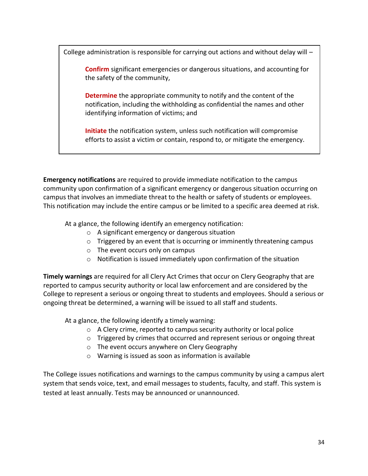College administration is responsible for carrying out actions and without delay will –

**Confirm** significant emergencies or dangerous situations, and accounting for the safety of the community,

**Determine** the appropriate community to notify and the content of the notification, including the withholding as confidential the names and other identifying information of victims; and

**Initiate** the notification system, unless such notification will compromise efforts to assist a victim or contain, respond to, or mitigate the emergency.

**Emergency notifications** are required to provide immediate notification to the campus community upon confirmation of a significant emergency or dangerous situation occurring on campus that involves an immediate threat to the health or safety of students or employees. This notification may include the entire campus or be limited to a specific area deemed at risk.

At a glance, the following identify an emergency notification:

- o A significant emergency or dangerous situation
- o Triggered by an event that is occurring or imminently threatening campus
- o The event occurs only on campus
- $\circ$  Notification is issued immediately upon confirmation of the situation

**Timely warnings** are required for all Clery Act Crimes that occur on Clery Geography that are reported to campus security authority or local law enforcement and are considered by the College to represent a serious or ongoing threat to students and employees. Should a serious or ongoing threat be determined, a warning will be issued to all staff and students.

At a glance, the following identify a timely warning:

- o A Clery crime, reported to campus security authority or local police
- $\circ$  Triggered by crimes that occurred and represent serious or ongoing threat
- o The event occurs anywhere on Clery Geography
- o Warning is issued as soon as information is available

The College issues notifications and warnings to the campus community by using a campus alert system that sends voice, text, and email messages to students, faculty, and staff. This system is tested at least annually. Tests may be announced or unannounced.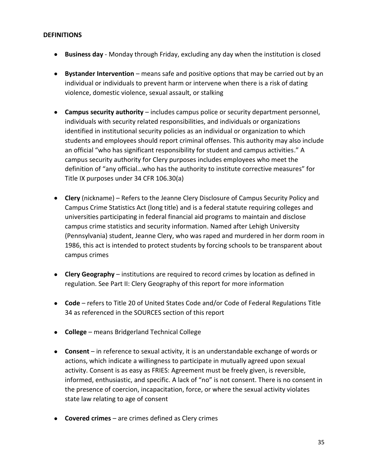#### **DEFINITIONS**

- **Business day**  Monday through Friday, excluding any day when the institution is closed
- **Bystander Intervention** means safe and positive options that may be carried out by an individual or individuals to prevent harm or intervene when there is a risk of dating violence, domestic violence, sexual assault, or stalking
- **Campus security authority** includes campus police or security department personnel, individuals with security related responsibilities, and individuals or organizations identified in institutional security policies as an individual or organization to which students and employees should report criminal offenses. This authority may also include an official "who has significant responsibility for student and campus activities." A campus security authority for Clery purposes includes employees who meet the definition of "any official…who has the authority to institute corrective measures" for Title IX purposes under 34 CFR 106.30(a)
- **Clery** (nickname) Refers to the Jeanne Clery Disclosure of Campus Security Policy and Campus Crime Statistics Act (long title) and is a federal statute requiring colleges and universities participating in federal financial aid programs to maintain and disclose campus crime statistics and security information. Named after Lehigh University (Pennsylvania) student, Jeanne Clery, who was raped and murdered in her dorm room in 1986, this act is intended to protect students by forcing schools to be transparent about campus crimes
- **Clery Geography**  institutions are required to record crimes by location as defined in regulation. See Part II: Clery Geography of this report for more information
- **Code** refers to Title 20 of United States Code and/or Code of Federal Regulations Title 34 as referenced in the SOURCES section of this report
- **College**  means Bridgerland Technical College
- **Consent** in reference to sexual activity, it is an understandable exchange of words or actions, which indicate a willingness to participate in mutually agreed upon sexual activity. Consent is as easy as FRIES: Agreement must be freely given, is reversible, informed, enthusiastic, and specific. A lack of "no" is not consent. There is no consent in the presence of coercion, incapacitation, force, or where the sexual activity violates state law relating to age of consent
- **Covered crimes** are crimes defined as Clery crimes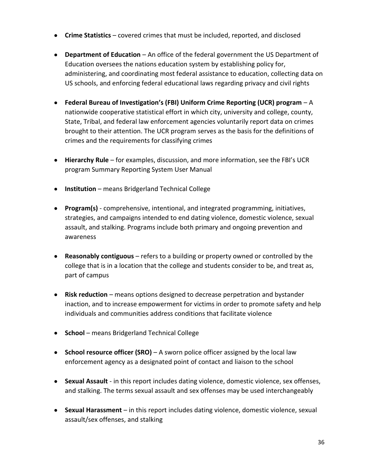- **Crime Statistics** covered crimes that must be included, reported, and disclosed
- **Department of Education** An office of the federal government the US Department of Education oversees the nations education system by establishing policy for, administering, and coordinating most federal assistance to education, collecting data on US schools, and enforcing federal educational laws regarding privacy and civil rights
- **Federal Bureau of Investigation's (FBI) Uniform Crime Reporting (UCR) program** A nationwide cooperative statistical effort in which city, university and college, county, State, Tribal, and federal law enforcement agencies voluntarily report data on crimes brought to their attention. The UCR program serves as the basis for the definitions of crimes and the requirements for classifying crimes
- **Hierarchy Rule** for examples, discussion, and more information, see the FBI's UCR program Summary Reporting System User Manual
- **Institution**  means Bridgerland Technical College
- **Program(s)** comprehensive, intentional, and integrated programming, initiatives, strategies, and campaigns intended to end dating violence, domestic violence, sexual assault, and stalking. Programs include both primary and ongoing prevention and awareness
- **Reasonably contiguous** refers to a building or property owned or controlled by the college that is in a location that the college and students consider to be, and treat as, part of campus
- **Risk reduction**  means options designed to decrease perpetration and bystander inaction, and to increase empowerment for victims in order to promote safety and help individuals and communities address conditions that facilitate violence
- **School**  means Bridgerland Technical College
- **School resource officer (SRO)** A sworn police officer assigned by the local law enforcement agency as a designated point of contact and liaison to the school
- **Sexual Assault** in this report includes dating violence, domestic violence, sex offenses, and stalking. The terms sexual assault and sex offenses may be used interchangeably
- **Sexual Harassment** in this report includes dating violence, domestic violence, sexual assault/sex offenses, and stalking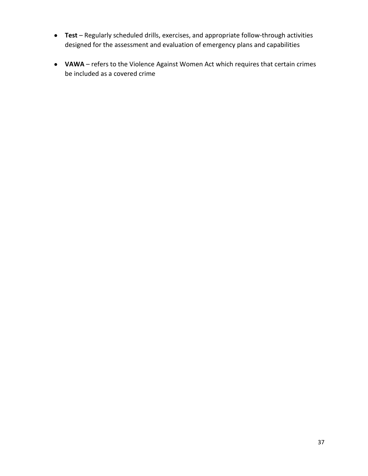- **Test** Regularly scheduled drills, exercises, and appropriate follow-through activities designed for the assessment and evaluation of emergency plans and capabilities
- **VAWA** refers to the Violence Against Women Act which requires that certain crimes be included as a covered crime